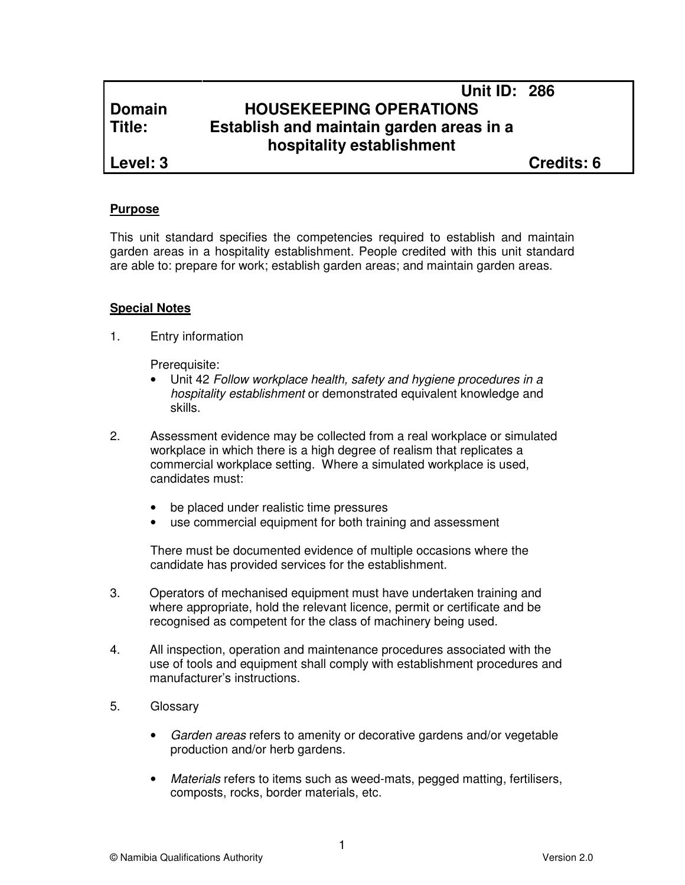# **Unit ID: 286 Domain HOUSEKEEPING OPERATIONS Title: Establish and maintain garden areas in a hospitality establishment**

**Level: 3 Credits: 6**

## **Purpose**

This unit standard specifies the competencies required to establish and maintain garden areas in a hospitality establishment. People credited with this unit standard are able to: prepare for work; establish garden areas; and maintain garden areas.

## **Special Notes**

1. Entry information

Prerequisite:

- Unit 42 Follow workplace health, safety and hygiene procedures in a hospitality establishment or demonstrated equivalent knowledge and skills.
- 2. Assessment evidence may be collected from a real workplace or simulated workplace in which there is a high degree of realism that replicates a commercial workplace setting. Where a simulated workplace is used, candidates must:
	- be placed under realistic time pressures
	- use commercial equipment for both training and assessment

There must be documented evidence of multiple occasions where the candidate has provided services for the establishment.

- 3. Operators of mechanised equipment must have undertaken training and where appropriate, hold the relevant licence, permit or certificate and be recognised as competent for the class of machinery being used.
- 4. All inspection, operation and maintenance procedures associated with the use of tools and equipment shall comply with establishment procedures and manufacturer's instructions.
- 5. Glossary
	- Garden areas refers to amenity or decorative gardens and/or vegetable production and/or herb gardens.
	- Materials refers to items such as weed-mats, pegged matting, fertilisers, composts, rocks, border materials, etc.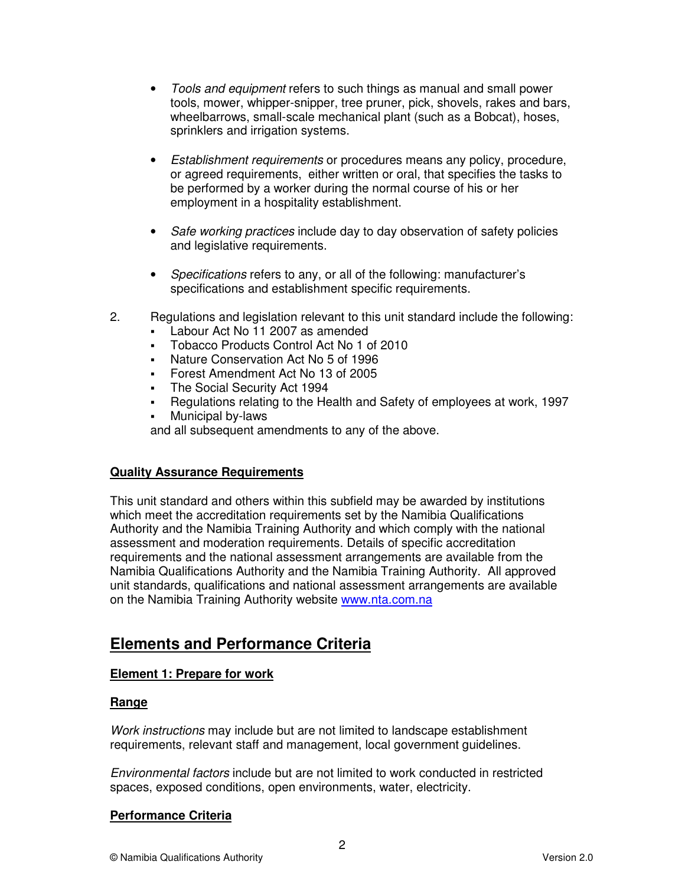- Tools and equipment refers to such things as manual and small power tools, mower, whipper-snipper, tree pruner, pick, shovels, rakes and bars, wheelbarrows, small-scale mechanical plant (such as a Bobcat), hoses, sprinklers and irrigation systems.
- Establishment requirements or procedures means any policy, procedure, or agreed requirements, either written or oral, that specifies the tasks to be performed by a worker during the normal course of his or her employment in a hospitality establishment.
- Safe working practices include day to day observation of safety policies and legislative requirements.
- Specifications refers to any, or all of the following: manufacturer's specifications and establishment specific requirements.
- 2. Regulations and legislation relevant to this unit standard include the following:
	- Labour Act No 11 2007 as amended
	- Tobacco Products Control Act No 1 of 2010
	- Nature Conservation Act No 5 of 1996
	- Forest Amendment Act No 13 of 2005
	- The Social Security Act 1994
	- Regulations relating to the Health and Safety of employees at work, 1997
	- Municipal by-laws

and all subsequent amendments to any of the above.

### **Quality Assurance Requirements**

This unit standard and others within this subfield may be awarded by institutions which meet the accreditation requirements set by the Namibia Qualifications Authority and the Namibia Training Authority and which comply with the national assessment and moderation requirements. Details of specific accreditation requirements and the national assessment arrangements are available from the Namibia Qualifications Authority and the Namibia Training Authority. All approved unit standards, qualifications and national assessment arrangements are available on the Namibia Training Authority website www.nta.com.na

# **Elements and Performance Criteria**

## **Element 1: Prepare for work**

### **Range**

Work instructions may include but are not limited to landscape establishment requirements, relevant staff and management, local government guidelines.

Environmental factors include but are not limited to work conducted in restricted spaces, exposed conditions, open environments, water, electricity.

### **Performance Criteria**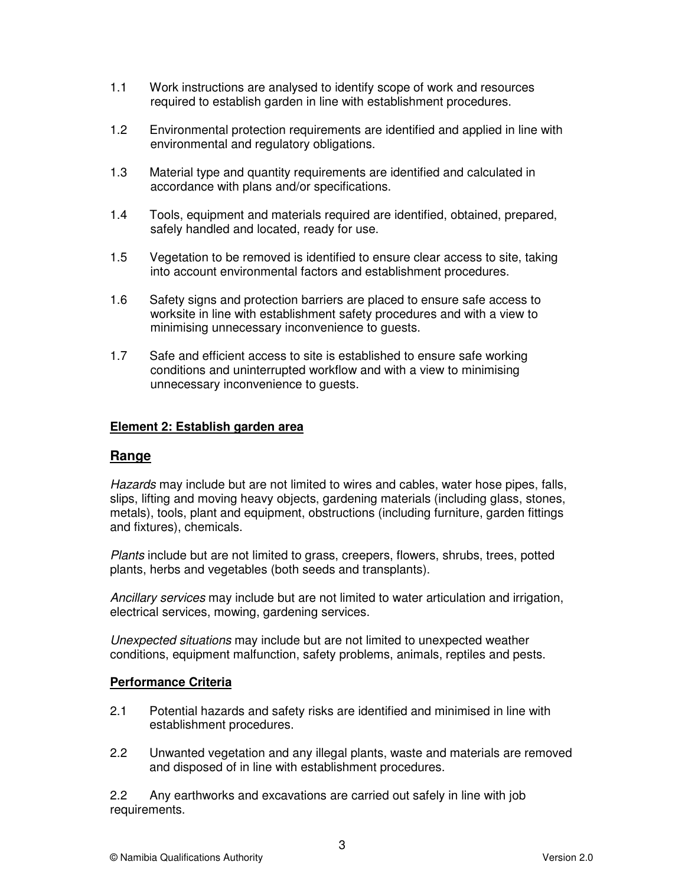- 1.1 Work instructions are analysed to identify scope of work and resources required to establish garden in line with establishment procedures.
- 1.2 Environmental protection requirements are identified and applied in line with environmental and regulatory obligations.
- 1.3 Material type and quantity requirements are identified and calculated in accordance with plans and/or specifications.
- 1.4 Tools, equipment and materials required are identified, obtained, prepared, safely handled and located, ready for use.
- 1.5 Vegetation to be removed is identified to ensure clear access to site, taking into account environmental factors and establishment procedures.
- 1.6 Safety signs and protection barriers are placed to ensure safe access to worksite in line with establishment safety procedures and with a view to minimising unnecessary inconvenience to guests.
- 1.7 Safe and efficient access to site is established to ensure safe working conditions and uninterrupted workflow and with a view to minimising unnecessary inconvenience to guests.

### **Element 2: Establish garden area**

### **Range**

Hazards may include but are not limited to wires and cables, water hose pipes, falls, slips, lifting and moving heavy objects, gardening materials (including glass, stones, metals), tools, plant and equipment, obstructions (including furniture, garden fittings and fixtures), chemicals.

Plants include but are not limited to grass, creepers, flowers, shrubs, trees, potted plants, herbs and vegetables (both seeds and transplants).

Ancillary services may include but are not limited to water articulation and irrigation, electrical services, mowing, gardening services.

Unexpected situations may include but are not limited to unexpected weather conditions, equipment malfunction, safety problems, animals, reptiles and pests.

#### **Performance Criteria**

- 2.1 Potential hazards and safety risks are identified and minimised in line with establishment procedures.
- 2.2 Unwanted vegetation and any illegal plants, waste and materials are removed and disposed of in line with establishment procedures.

2.2 Any earthworks and excavations are carried out safely in line with job requirements.